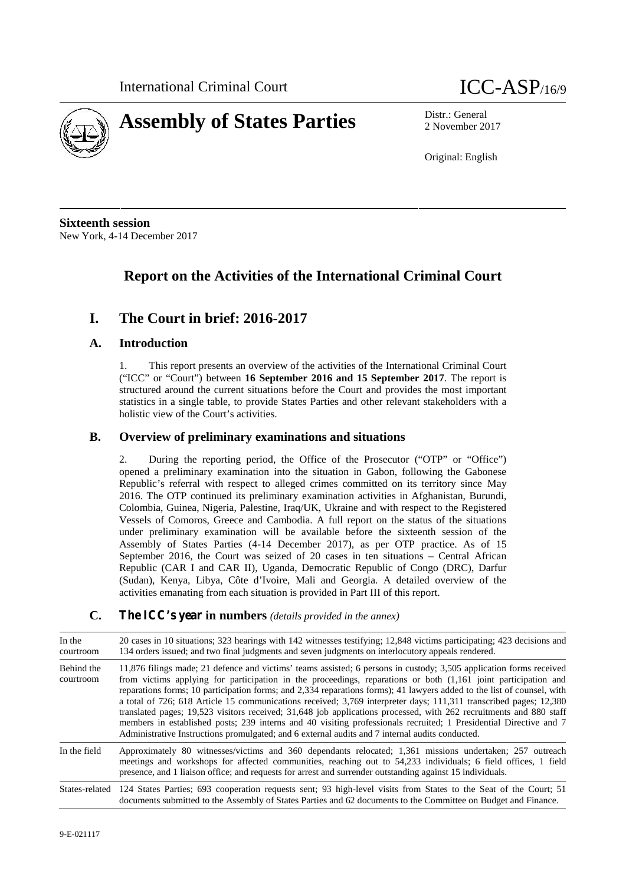



2 November 2017

Original: English

**Sixteenth session** New York, 4-14 December 2017

## **Report on the Activities of the International Criminal Court**

## **I. The Court in brief: 2016-2017**

#### **A. Introduction**

1. This report presents an overview of the activities of the International Criminal Court ("ICC" or "Court") between **16 September 2016 and 15 September 2017**. The report is structured around the current situations before the Court and provides the most important statistics in a single table, to provide States Parties and other relevant stakeholders with a holistic view of the Court's activities.

#### **B. Overview of preliminary examinations and situations**

2. During the reporting period, the Office of the Prosecutor ("OTP" or "Office") opened a preliminary examination into the situation in Gabon, following the Gabonese Republic's referral with respect to alleged crimes committed on its territory since May 2016. The OTP continued its preliminary examination activities in Afghanistan, Burundi, Colombia, Guinea, Nigeria, Palestine, Iraq/UK, Ukraine and with respect to the Registered Vessels of Comoros, Greece and Cambodia. A full report on the status of the situations under preliminary examination will be available before the sixteenth session of the Assembly of States Parties (4-14 December 2017), as per OTP practice. As of 15 September 2016, the Court was seized of 20 cases in ten situations – Central African Republic (CAR I and CAR II), Uganda, Democratic Republic of Congo (DRC), Darfur (Sudan), Kenya, Libya, Côte d'Ivoire, Mali and Georgia. A detailed overview of the activities emanating from each situation is provided in Part III of this report.

#### **C. The ICC's year in numbers** *(details provided in the annex)*

| In the<br>courtroom     | 20 cases in 10 situations; 323 hearings with 142 witnesses testifying; 12,848 victims participating; 423 decisions and<br>134 orders issued; and two final judgments and seven judgments on interlocutory appeals rendered.                                                                                                                                                                                                                                                                                                                                                                                                                                                                                                                                                                                                        |  |
|-------------------------|------------------------------------------------------------------------------------------------------------------------------------------------------------------------------------------------------------------------------------------------------------------------------------------------------------------------------------------------------------------------------------------------------------------------------------------------------------------------------------------------------------------------------------------------------------------------------------------------------------------------------------------------------------------------------------------------------------------------------------------------------------------------------------------------------------------------------------|--|
| Behind the<br>courtroom | 11,876 filings made; 21 defence and victims' teams assisted; 6 persons in custody; 3,505 application forms received<br>from victims applying for participation in the proceedings, reparations or both (1,161 joint participation and<br>reparations forms; 10 participation forms; and 2,334 reparations forms); 41 lawyers added to the list of counsel, with<br>a total of 726; 618 Article 15 communications received; 3,769 interpreter days; 111,311 transcribed pages; 12,380<br>translated pages; 19,523 visitors received; 31,648 job applications processed, with 262 recruitments and 880 staff<br>members in established posts; 239 interns and 40 visiting professionals recruited; 1 Presidential Directive and 7<br>Administrative Instructions promulgated; and 6 external audits and 7 internal audits conducted. |  |
| In the field            | Approximately 80 witnesses/victims and 360 dependants relocated; 1,361 missions undertaken; 257 outreach<br>meetings and workshops for affected communities, reaching out to 54,233 individuals; 6 field offices, 1 field<br>presence, and 1 liaison office; and requests for arrest and surrender outstanding against 15 individuals.                                                                                                                                                                                                                                                                                                                                                                                                                                                                                             |  |
|                         | States-related 124 States Parties; 693 cooperation requests sent; 93 high-level visits from States to the Seat of the Court; 51<br>documents submitted to the Assembly of States Parties and 62 documents to the Committee on Budget and Finance.                                                                                                                                                                                                                                                                                                                                                                                                                                                                                                                                                                                  |  |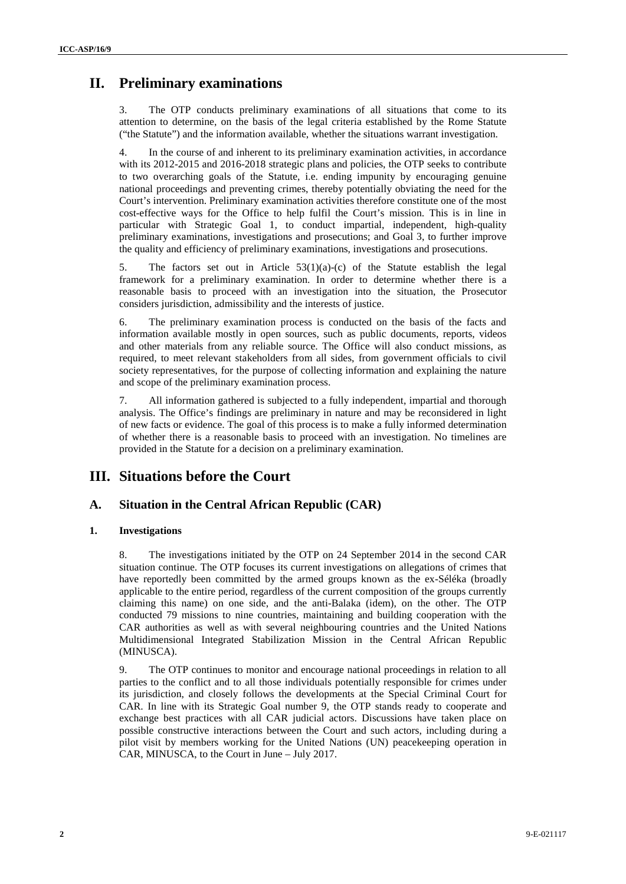## **II. Preliminary examinations**

3. The OTP conducts preliminary examinations of all situations that come to its attention to determine, on the basis of the legal criteria established by the Rome Statute ("the Statute") and the information available, whether the situations warrant investigation.

4. In the course of and inherent to its preliminary examination activities, in accordance with its 2012-2015 and 2016-2018 strategic plans and policies, the OTP seeks to contribute to two overarching goals of the Statute, i.e. ending impunity by encouraging genuine national proceedings and preventing crimes, thereby potentially obviating the need for the Court's intervention. Preliminary examination activities therefore constitute one of the most cost-effective ways for the Office to help fulfil the Court's mission. This is in line in particular with Strategic Goal 1, to conduct impartial, independent, high-quality preliminary examinations, investigations and prosecutions; and Goal 3, to further improve the quality and efficiency of preliminary examinations, investigations and prosecutions.

5. The factors set out in Article  $53(1)(a)-(c)$  of the Statute establish the legal framework for a preliminary examination. In order to determine whether there is a reasonable basis to proceed with an investigation into the situation, the Prosecutor considers jurisdiction, admissibility and the interests of justice.

6. The preliminary examination process is conducted on the basis of the facts and information available mostly in open sources, such as public documents, reports, videos and other materials from any reliable source. The Office will also conduct missions, as required, to meet relevant stakeholders from all sides, from government officials to civil society representatives, for the purpose of collecting information and explaining the nature and scope of the preliminary examination process.

7. All information gathered is subjected to a fully independent, impartial and thorough analysis. The Office's findings are preliminary in nature and may be reconsidered in light of new facts or evidence. The goal of this process is to make a fully informed determination of whether there is a reasonable basis to proceed with an investigation. No timelines are provided in the Statute for a decision on a preliminary examination.

## **III. Situations before the Court**

### **A. Situation in the Central African Republic (CAR)**

#### **1. Investigations**

8. The investigations initiated by the OTP on 24 September 2014 in the second CAR situation continue. The OTP focuses its current investigations on allegations of crimes that have reportedly been committed by the armed groups known as the ex-Séléka (broadly applicable to the entire period, regardless of the current composition of the groups currently claiming this name) on one side, and the anti-Balaka (idem), on the other. The OTP conducted 79 missions to nine countries, maintaining and building cooperation with the CAR authorities as well as with several neighbouring countries and the United Nations Multidimensional Integrated Stabilization Mission in the Central African Republic (MINUSCA).

9. The OTP continues to monitor and encourage national proceedings in relation to all parties to the conflict and to all those individuals potentially responsible for crimes under its jurisdiction, and closely follows the developments at the Special Criminal Court for CAR. In line with its Strategic Goal number 9, the OTP stands ready to cooperate and exchange best practices with all CAR judicial actors. Discussions have taken place on possible constructive interactions between the Court and such actors, including during a pilot visit by members working for the United Nations (UN) peacekeeping operation in CAR, MINUSCA, to the Court in June – July 2017.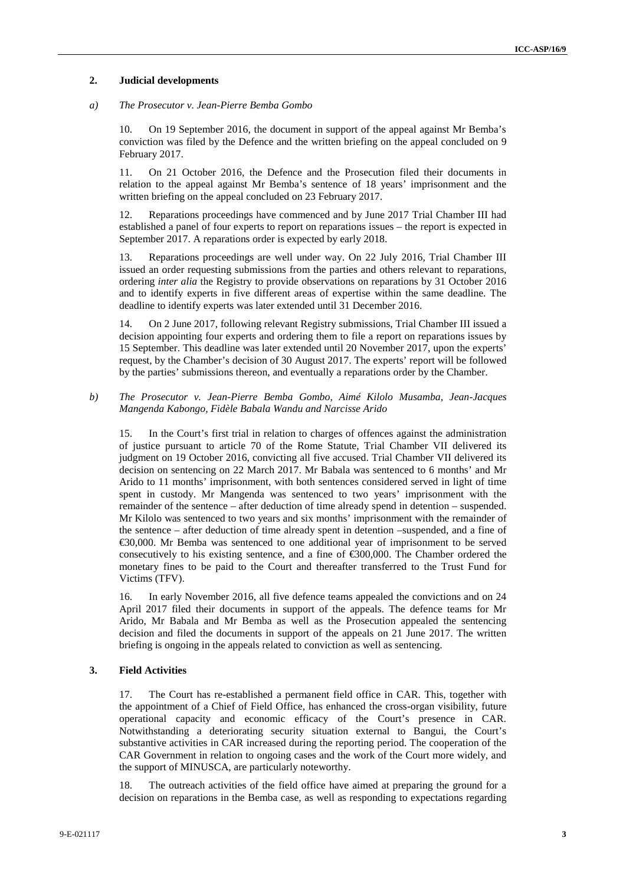#### **2. Judicial developments**

#### *a) The Prosecutor v. Jean-Pierre Bemba Gombo*

10. On 19 September 2016, the document in support of the appeal against Mr Bemba's conviction was filed by the Defence and the written briefing on the appeal concluded on 9 February 2017.

11. On 21 October 2016, the Defence and the Prosecution filed their documents in relation to the appeal against Mr Bemba's sentence of 18 years' imprisonment and the written briefing on the appeal concluded on 23 February 2017.

12. Reparations proceedings have commenced and by June 2017 Trial Chamber III had established a panel of four experts to report on reparations issues – the report is expected in September 2017. A reparations order is expected by early 2018.

13. Reparations proceedings are well under way. On 22 July 2016, Trial Chamber III issued an order requesting submissions from the parties and others relevant to reparations, ordering *inter alia* the Registry to provide observations on reparations by 31 October 2016 and to identify experts in five different areas of expertise within the same deadline. The deadline to identify experts was later extended until 31 December 2016.

14. On 2 June 2017, following relevant Registry submissions, Trial Chamber III issued a decision appointing four experts and ordering them to file a report on reparations issues by 15 September. This deadline was later extended until 20 November 2017, upon the experts' request, by the Chamber's decision of 30 August 2017. The experts' report will be followed by the parties' submissions thereon, and eventually a reparations order by the Chamber.

#### *b) The Prosecutor v. Jean-Pierre Bemba Gombo, Aimé Kilolo Musamba, Jean-Jacques Mangenda Kabongo, Fidèle Babala Wandu and Narcisse Arido*

15. In the Court's first trial in relation to charges of offences against the administration of justice pursuant to article 70 of the Rome Statute, Trial Chamber VII delivered its judgment on 19 October 2016, convicting all five accused. Trial Chamber VII delivered its decision on sentencing on 22 March 2017. Mr Babala was sentenced to 6 months' and Mr Arido to 11 months' imprisonment, with both sentences considered served in light of time spent in custody. Mr Mangenda was sentenced to two years' imprisonment with the remainder of the sentence – after deduction of time already spend in detention – suspended. Mr Kilolo was sentenced to two years and six months' imprisonment with the remainder of the sentence – after deduction of time already spent in detention –suspended, and a fine of €30,000. Mr Bemba was sentenced to one additional year of imprisonment to be served consecutively to his existing sentence, and a fine of  $\epsilon$ 300,000. The Chamber ordered the monetary fines to be paid to the Court and thereafter transferred to the Trust Fund for Victims (TFV).

16. In early November 2016, all five defence teams appealed the convictions and on 24 April 2017 filed their documents in support of the appeals. The defence teams for Mr Arido, Mr Babala and Mr Bemba as well as the Prosecution appealed the sentencing decision and filed the documents in support of the appeals on 21 June 2017. The written briefing is ongoing in the appeals related to conviction as well as sentencing.

#### **3. Field Activities**

17. The Court has re-established a permanent field office in CAR. This, together with the appointment of a Chief of Field Office, has enhanced the cross-organ visibility, future operational capacity and economic efficacy of the Court's presence in CAR. Notwithstanding a deteriorating security situation external to Bangui, the Court's substantive activities in CAR increased during the reporting period. The cooperation of the CAR Government in relation to ongoing cases and the work of the Court more widely, and the support of MINUSCA, are particularly noteworthy.

18. The outreach activities of the field office have aimed at preparing the ground for a decision on reparations in the Bemba case, as well as responding to expectations regarding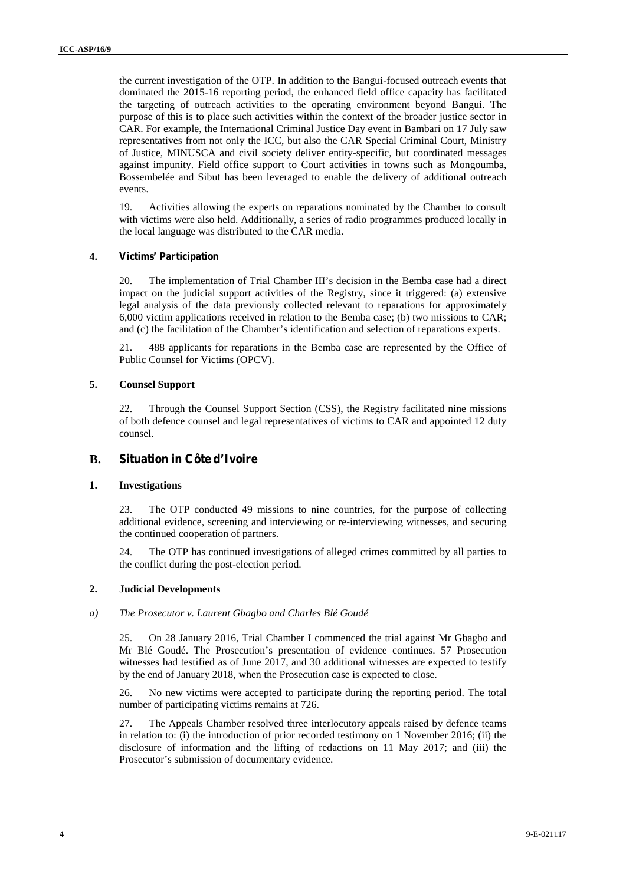the current investigation of the OTP. In addition to the Bangui-focused outreach events that dominated the 2015-16 reporting period, the enhanced field office capacity has facilitated the targeting of outreach activities to the operating environment beyond Bangui. The purpose of this is to place such activities within the context of the broader justice sector in CAR. For example, the International Criminal Justice Day event in Bambari on 17 July saw representatives from not only the ICC, but also the CAR Special Criminal Court, Ministry of Justice, MINUSCA and civil society deliver entity-specific, but coordinated messages against impunity. Field office support to Court activities in towns such as Mongoumba, Bossembelée and Sibut has been leveraged to enable the delivery of additional outreach events.

19. Activities allowing the experts on reparations nominated by the Chamber to consult with victims were also held. Additionally, a series of radio programmes produced locally in the local language was distributed to the CAR media.

#### **4. Victims' Participation**

20. The implementation of Trial Chamber III's decision in the Bemba case had a direct impact on the judicial support activities of the Registry, since it triggered: (a) extensive legal analysis of the data previously collected relevant to reparations for approximately 6,000 victim applications received in relation to the Bemba case; (b) two missions to CAR; and (c) the facilitation of the Chamber's identification and selection of reparations experts.

21. 488 applicants for reparations in the Bemba case are represented by the Office of Public Counsel for Victims (OPCV).

#### **5. Counsel Support**

22. Through the Counsel Support Section (CSS), the Registry facilitated nine missions of both defence counsel and legal representatives of victims to CAR and appointed 12 duty counsel.

#### **B. Situation in Côte d'Ivoire**

#### **1. Investigations**

23. The OTP conducted 49 missions to nine countries, for the purpose of collecting additional evidence, screening and interviewing or re-interviewing witnesses, and securing the continued cooperation of partners.

24. The OTP has continued investigations of alleged crimes committed by all parties to the conflict during the post-election period.

#### **2. Judicial Developments**

#### *a) The Prosecutor v. Laurent Gbagbo and Charles Blé Goudé*

25. On 28 January 2016, Trial Chamber I commenced the trial against Mr Gbagbo and Mr Blé Goudé. The Prosecution's presentation of evidence continues. 57 Prosecution witnesses had testified as of June 2017, and 30 additional witnesses are expected to testify by the end of January 2018, when the Prosecution case is expected to close.

26. No new victims were accepted to participate during the reporting period. The total number of participating victims remains at 726.

27. The Appeals Chamber resolved three interlocutory appeals raised by defence teams in relation to: (i) the introduction of prior recorded testimony on 1 November 2016; (ii) the disclosure of information and the lifting of redactions on 11 May 2017; and (iii) the Prosecutor's submission of documentary evidence.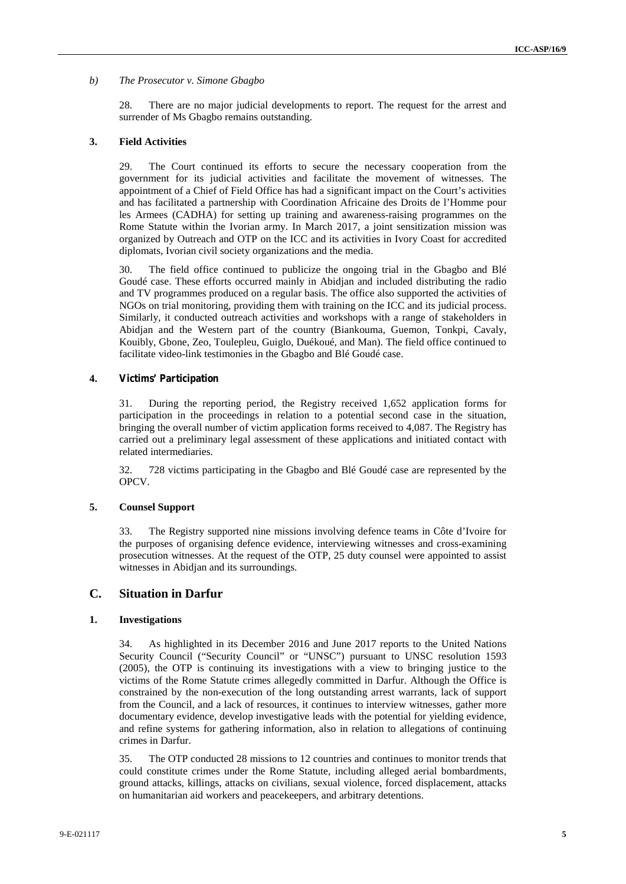#### *b) The Prosecutor v. Simone Gbagbo*

28. There are no major judicial developments to report. The request for the arrest and surrender of Ms Gbagbo remains outstanding.

#### **3. Field Activities**

29. The Court continued its efforts to secure the necessary cooperation from the government for its judicial activities and facilitate the movement of witnesses. The appointment of a Chief of Field Office has had a significant impact on the Court's activities and has facilitated a partnership with Coordination Africaine des Droits de l'Homme pour les Armees (CADHA) for setting up training and awareness-raising programmes on the Rome Statute within the Ivorian army. In March 2017, a joint sensitization mission was organized by Outreach and OTP on the ICC and its activities in Ivory Coast for accredited diplomats, Ivorian civil society organizations and the media.

30. The field office continued to publicize the ongoing trial in the Gbagbo and Blé Goudé case. These efforts occurred mainly in Abidjan and included distributing the radio and TV programmes produced on a regular basis. The office also supported the activities of NGOs on trial monitoring, providing them with training on the ICC and its judicial process. Similarly, it conducted outreach activities and workshops with a range of stakeholders in Abidjan and the Western part of the country (Biankouma, Guemon, Tonkpi, Cavaly, Kouibly, Gbone, Zeo, Toulepleu, Guiglo, Duékoué, and Man). The field office continued to facilitate video-link testimonies in the Gbagbo and Blé Goudé case.

#### **4. Victims' Participation**

31. During the reporting period, the Registry received 1,652 application forms for participation in the proceedings in relation to a potential second case in the situation, bringing the overall number of victim application forms received to 4,087. The Registry has carried out a preliminary legal assessment of these applications and initiated contact with related intermediaries.

32. 728 victims participating in the Gbagbo and Blé Goudé case are represented by the OPCV.

#### **5. Counsel Support**

33. The Registry supported nine missions involving defence teams in Côte d'Ivoire for the purposes of organising defence evidence, interviewing witnesses and cross-examining prosecution witnesses. At the request of the OTP, 25 duty counsel were appointed to assist witnesses in Abidjan and its surroundings.

#### **C. Situation in Darfur**

#### **1. Investigations**

34. As highlighted in its December 2016 and June 2017 reports to the United Nations Security Council ("Security Council" or "UNSC") pursuant to UNSC resolution 1593 (2005), the OTP is continuing its investigations with a view to bringing justice to the victims of the Rome Statute crimes allegedly committed in Darfur. Although the Office is constrained by the non-execution of the long outstanding arrest warrants, lack of support from the Council, and a lack of resources, it continues to interview witnesses, gather more documentary evidence, develop investigative leads with the potential for yielding evidence, and refine systems for gathering information, also in relation to allegations of continuing crimes in Darfur.

35. The OTP conducted 28 missions to 12 countries and continues to monitor trends that could constitute crimes under the Rome Statute, including alleged aerial bombardments, ground attacks, killings, attacks on civilians, sexual violence, forced displacement, attacks on humanitarian aid workers and peacekeepers, and arbitrary detentions.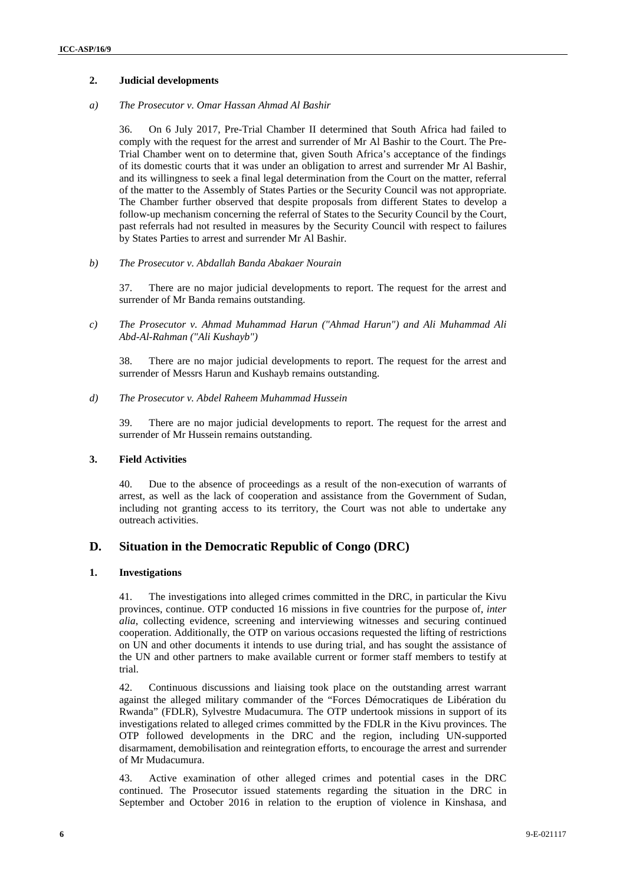#### **2. Judicial developments**

#### *a) The Prosecutor v. Omar Hassan Ahmad Al Bashir*

36. On 6 July 2017, Pre-Trial Chamber II determined that South Africa had failed to comply with the request for the arrest and surrender of Mr Al Bashir to the Court. The Pre- Trial Chamber went on to determine that, given South Africa's acceptance of the findings of its domestic courts that it was under an obligation to arrest and surrender Mr Al Bashir, and its willingness to seek a final legal determination from the Court on the matter, referral of the matter to the Assembly of States Parties or the Security Council was not appropriate. The Chamber further observed that despite proposals from different States to develop a follow-up mechanism concerning the referral of States to the Security Council by the Court, past referrals had not resulted in measures by the Security Council with respect to failures by States Parties to arrest and surrender Mr Al Bashir.

*b) The Prosecutor v. Abdallah Banda Abakaer Nourain*

37. There are no major judicial developments to report. The request for the arrest and surrender of Mr Banda remains outstanding.

*c) The Prosecutor v. Ahmad Muhammad Harun ("Ahmad Harun") and Ali Muhammad Ali Abd-Al-Rahman ("Ali Kushayb")*

38. There are no major judicial developments to report. The request for the arrest and surrender of Messrs Harun and Kushayb remains outstanding.

*d) The Prosecutor v. Abdel Raheem Muhammad Hussein*

39. There are no major judicial developments to report. The request for the arrest and surrender of Mr Hussein remains outstanding.

#### **3. Field Activities**

40. Due to the absence of proceedings as a result of the non-execution of warrants of arrest, as well as the lack of cooperation and assistance from the Government of Sudan, including not granting access to its territory, the Court was not able to undertake any outreach activities.

#### **D. Situation in the Democratic Republic of Congo (DRC)**

#### **1. Investigations**

41. The investigations into alleged crimes committed in the DRC, in particular the Kivu provinces, continue. OTP conducted 16 missions in five countries for the purpose of, *inter alia*, collecting evidence, screening and interviewing witnesses and securing continued cooperation. Additionally, the OTP on various occasions requested the lifting of restrictions on UN and other documents it intends to use during trial, and has sought the assistance of the UN and other partners to make available current or former staff members to testify at trial.

42. Continuous discussions and liaising took place on the outstanding arrest warrant against the alleged military commander of the "Forces Démocratiques de Libération du Rwanda" (FDLR), Sylvestre Mudacumura. The OTP undertook missions in support of its investigations related to alleged crimes committed by the FDLR in the Kivu provinces. The OTP followed developments in the DRC and the region, including UN-supported disarmament, demobilisation and reintegration efforts, to encourage the arrest and surrender of Mr Mudacumura.

43. Active examination of other alleged crimes and potential cases in the DRC continued. The Prosecutor issued statements regarding the situation in the DRC in September and October 2016 in relation to the eruption of violence in Kinshasa, and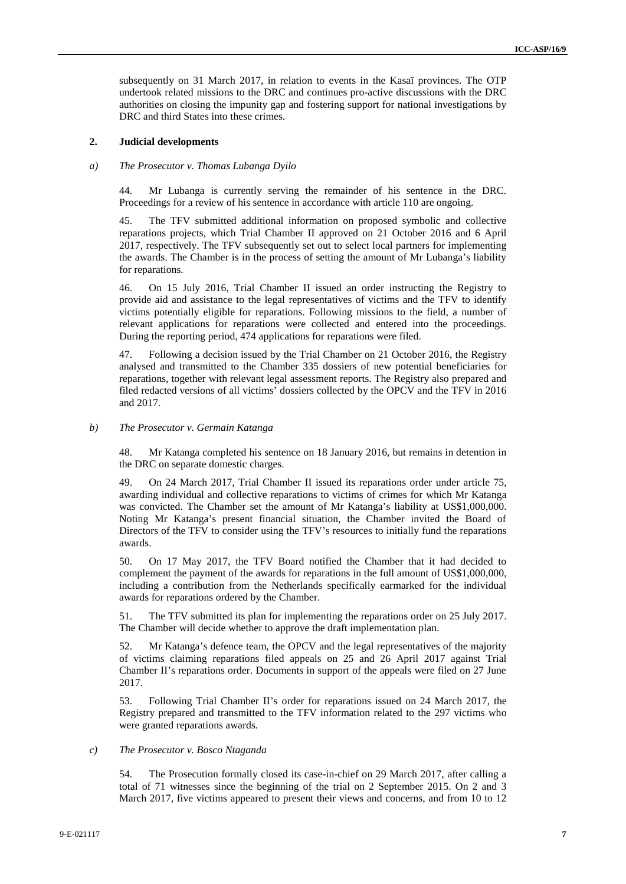subsequently on 31 March 2017, in relation to events in the Kasaï provinces. The OTP undertook related missions to the DRC and continues pro-active discussions with the DRC authorities on closing the impunity gap and fostering support for national investigations by DRC and third States into these crimes.

#### **2. Judicial developments**

#### *a) The Prosecutor v. Thomas Lubanga Dyilo*

44. Mr Lubanga is currently serving the remainder of his sentence in the DRC. Proceedings for a review of his sentence in accordance with article 110 are ongoing.

45. The TFV submitted additional information on proposed symbolic and collective reparations projects, which Trial Chamber II approved on 21 October 2016 and 6 April 2017, respectively. The TFV subsequently set out to select local partners for implementing the awards. The Chamber is in the process of setting the amount of Mr Lubanga's liability for reparations.

46. On 15 July 2016, Trial Chamber II issued an order instructing the Registry to provide aid and assistance to the legal representatives of victims and the TFV to identify victims potentially eligible for reparations. Following missions to the field, a number of relevant applications for reparations were collected and entered into the proceedings. During the reporting period, 474 applications for reparations were filed.

47. Following a decision issued by the Trial Chamber on 21 October 2016, the Registry analysed and transmitted to the Chamber 335 dossiers of new potential beneficiaries for reparations, together with relevant legal assessment reports. The Registry also prepared and filed redacted versions of all victims' dossiers collected by the OPCV and the TFV in 2016 and 2017.

#### *b) The Prosecutor v. Germain Katanga*

48. Mr Katanga completed his sentence on 18 January 2016, but remains in detention in the DRC on separate domestic charges.

49. On 24 March 2017, Trial Chamber II issued its reparations order under article 75, awarding individual and collective reparations to victims of crimes for which Mr Katanga was convicted. The Chamber set the amount of Mr Katanga's liability at US\$1,000,000. Noting Mr Katanga's present financial situation, the Chamber invited the Board of Directors of the TFV to consider using the TFV's resources to initially fund the reparations awards.

50. On 17 May 2017, the TFV Board notified the Chamber that it had decided to complement the payment of the awards for reparations in the full amount of US\$1,000,000, including a contribution from the Netherlands specifically earmarked for the individual awards for reparations ordered by the Chamber.

51. The TFV submitted its plan for implementing the reparations order on 25 July 2017. The Chamber will decide whether to approve the draft implementation plan.

52. Mr Katanga's defence team, the OPCV and the legal representatives of the majority of victims claiming reparations filed appeals on 25 and 26 April 2017 against Trial Chamber II's reparations order. Documents in support of the appeals were filed on 27 June 2017.

53. Following Trial Chamber II's order for reparations issued on 24 March 2017, the Registry prepared and transmitted to the TFV information related to the 297 victims who were granted reparations awards.

#### *c) The Prosecutor v. Bosco Ntaganda*

54. The Prosecution formally closed its case-in-chief on 29 March 2017, after calling a total of 71 witnesses since the beginning of the trial on 2 September 2015. On 2 and 3 March 2017, five victims appeared to present their views and concerns, and from 10 to 12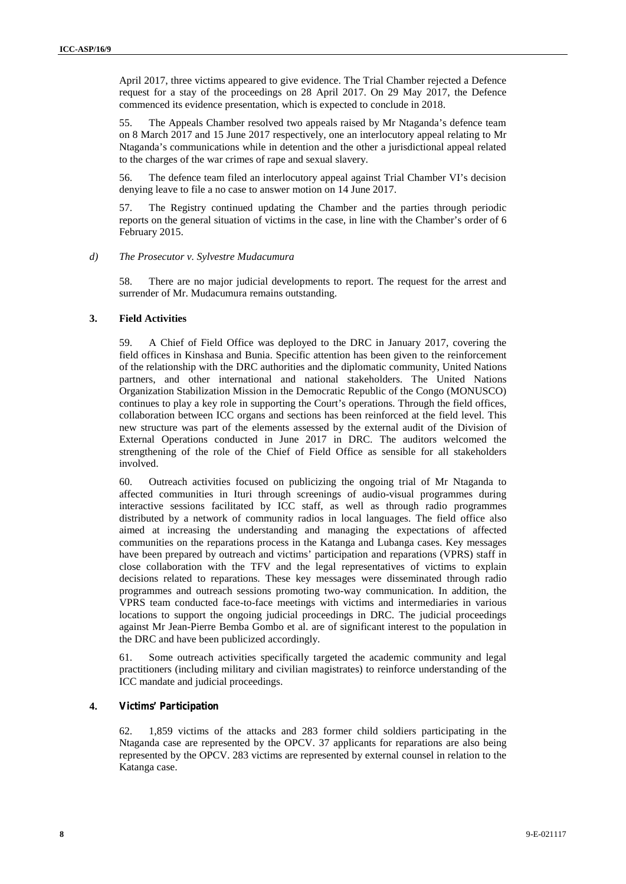April 2017, three victims appeared to give evidence. The Trial Chamber rejected a Defence request for a stay of the proceedings on 28 April 2017. On 29 May 2017, the Defence commenced its evidence presentation, which is expected to conclude in 2018.

55. The Appeals Chamber resolved two appeals raised by Mr Ntaganda's defence team on 8 March 2017 and 15 June 2017 respectively, one an interlocutory appeal relating to Mr Ntaganda's communications while in detention and the other a jurisdictional appeal related to the charges of the war crimes of rape and sexual slavery.

56. The defence team filed an interlocutory appeal against Trial Chamber VI's decision denying leave to file a no case to answer motion on 14 June 2017.

57. The Registry continued updating the Chamber and the parties through periodic reports on the general situation of victims in the case, in line with the Chamber's order of 6 February 2015.

#### *d) The Prosecutor v. Sylvestre Mudacumura*

58. There are no major judicial developments to report. The request for the arrest and surrender of Mr. Mudacumura remains outstanding.

#### **3. Field Activities**

59. A Chief of Field Office was deployed to the DRC in January 2017, covering the field offices in Kinshasa and Bunia. Specific attention has been given to the reinforcement of the relationship with the DRC authorities and the diplomatic community, United Nations partners, and other international and national stakeholders. The United Nations Organization Stabilization Mission in the Democratic Republic of the Congo (MONUSCO) continues to play a key role in supporting the Court's operations. Through the field offices, collaboration between ICC organs and sections has been reinforced at the field level. This new structure was part of the elements assessed by the external audit of the Division of External Operations conducted in June 2017 in DRC. The auditors welcomed the strengthening of the role of the Chief of Field Office as sensible for all stakeholders involved.

60. Outreach activities focused on publicizing the ongoing trial of Mr Ntaganda to affected communities in Ituri through screenings of audio-visual programmes during interactive sessions facilitated by ICC staff, as well as through radio programmes distributed by a network of community radios in local languages. The field office also aimed at increasing the understanding and managing the expectations of affected communities on the reparations process in the Katanga and Lubanga cases. Key messages have been prepared by outreach and victims' participation and reparations (VPRS) staff in close collaboration with the TFV and the legal representatives of victims to explain decisions related to reparations. These key messages were disseminated through radio programmes and outreach sessions promoting two-way communication. In addition, the VPRS team conducted face-to-face meetings with victims and intermediaries in various locations to support the ongoing judicial proceedings in DRC. The judicial proceedings against Mr Jean-Pierre Bemba Gombo et al. are of significant interest to the population in the DRC and have been publicized accordingly.

61. Some outreach activities specifically targeted the academic community and legal practitioners (including military and civilian magistrates) to reinforce understanding of the ICC mandate and judicial proceedings.

#### **4. Victims' Participation**

62. 1,859 victims of the attacks and 283 former child soldiers participating in the Ntaganda case are represented by the OPCV. 37 applicants for reparations are also being represented by the OPCV. 283 victims are represented by external counsel in relation to the Katanga case.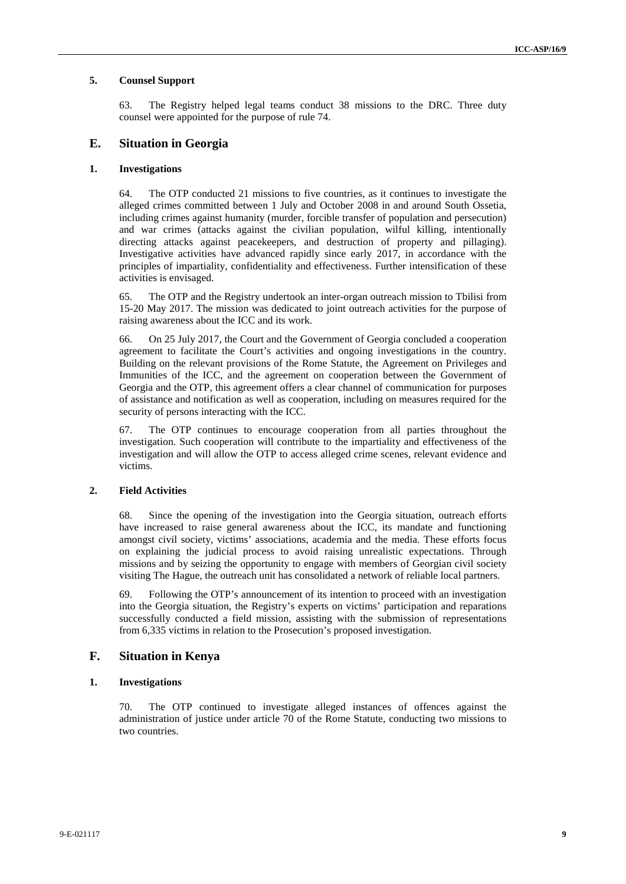#### **5. Counsel Support**

63. The Registry helped legal teams conduct 38 missions to the DRC. Three duty counsel were appointed for the purpose of rule 74.

#### **E. Situation in Georgia**

#### **1. Investigations**

64. The OTP conducted 21 missions to five countries, as it continues to investigate the alleged crimes committed between 1 July and October 2008 in and around South Ossetia, including crimes against humanity (murder, forcible transfer of population and persecution) and war crimes (attacks against the civilian population, wilful killing, intentionally directing attacks against peacekeepers, and destruction of property and pillaging). Investigative activities have advanced rapidly since early 2017, in accordance with the principles of impartiality, confidentiality and effectiveness. Further intensification of these activities is envisaged.

65. The OTP and the Registry undertook an inter-organ outreach mission to Tbilisi from 15-20 May 2017. The mission was dedicated to joint outreach activities for the purpose of raising awareness about the ICC and its work.

66. On 25 July 2017, the Court and the Government of Georgia concluded a cooperation agreement to facilitate the Court's activities and ongoing investigations in the country. Building on the relevant provisions of the Rome Statute, the Agreement on Privileges and Immunities of the ICC, and the agreement on cooperation between the Government of Georgia and the OTP, this agreement offers a clear channel of communication for purposes of assistance and notification as well as cooperation, including on measures required for the security of persons interacting with the ICC.

67. The OTP continues to encourage cooperation from all parties throughout the investigation. Such cooperation will contribute to the impartiality and effectiveness of the investigation and will allow the OTP to access alleged crime scenes, relevant evidence and victims.

#### **2. Field Activities**

68. Since the opening of the investigation into the Georgia situation, outreach efforts have increased to raise general awareness about the ICC, its mandate and functioning amongst civil society, victims' associations, academia and the media. These efforts focus on explaining the judicial process to avoid raising unrealistic expectations. Through missions and by seizing the opportunity to engage with members of Georgian civil society visiting The Hague, the outreach unit has consolidated a network of reliable local partners.

69. Following the OTP's announcement of its intention to proceed with an investigation into the Georgia situation, the Registry's experts on victims' participation and reparations successfully conducted a field mission, assisting with the submission of representations from 6,335 victims in relation to the Prosecution's proposed investigation.

#### **F. Situation in Kenya**

#### **1. Investigations**

70. The OTP continued to investigate alleged instances of offences against the administration of justice under article 70 of the Rome Statute, conducting two missions to two countries.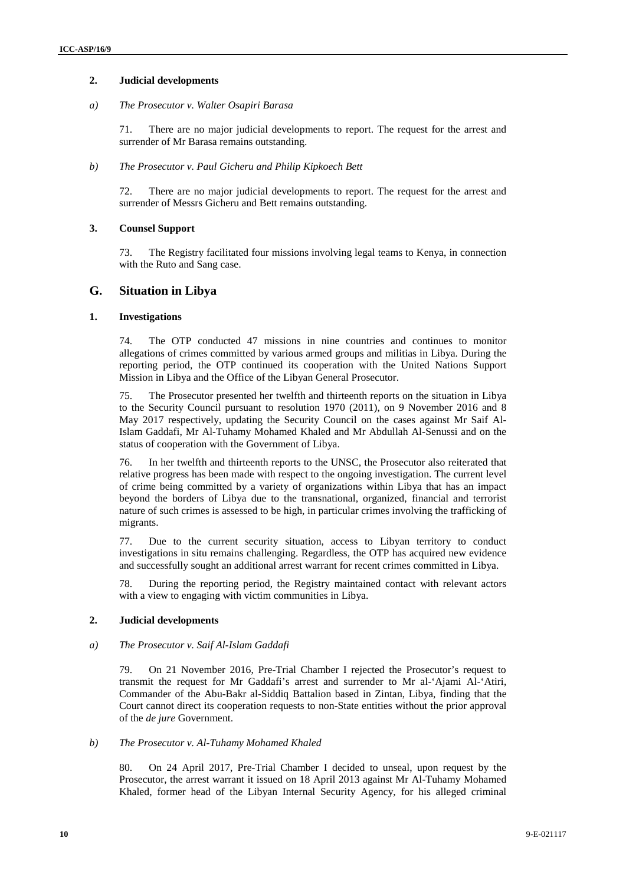#### **2. Judicial developments**

#### *a) The Prosecutor v. Walter Osapiri Barasa*

71. There are no major judicial developments to report. The request for the arrest and surrender of Mr Barasa remains outstanding.

#### *b) The Prosecutor v. Paul Gicheru and Philip Kipkoech Bett*

72. There are no major judicial developments to report. The request for the arrest and surrender of Messrs Gicheru and Bett remains outstanding.

#### **3. Counsel Support**

73. The Registry facilitated four missions involving legal teams to Kenya, in connection with the Ruto and Sang case.

#### **G. Situation in Libya**

#### **1. Investigations**

74. The OTP conducted 47 missions in nine countries and continues to monitor allegations of crimes committed by various armed groups and militias in Libya. During the reporting period, the OTP continued its cooperation with the United Nations Support Mission in Libya and the Office of the Libyan General Prosecutor.

75. The Prosecutor presented her twelfth and thirteenth reports on the situation in Libya to the Security Council pursuant to resolution 1970 (2011), on 9 November 2016 and 8 May 2017 respectively, updating the Security Council on the cases against Mr Saif Al-Islam Gaddafi, Mr Al-Tuhamy Mohamed Khaled and Mr Abdullah Al-Senussi and on the status of cooperation with the Government of Libya.

76. In her twelfth and thirteenth reports to the UNSC, the Prosecutor also reiterated that relative progress has been made with respect to the ongoing investigation. The current level of crime being committed by a variety of organizations within Libya that has an impact beyond the borders of Libya due to the transnational, organized, financial and terrorist nature of such crimes is assessed to be high, in particular crimes involving the trafficking of migrants.

77. Due to the current security situation, access to Libyan territory to conduct investigations in situ remains challenging. Regardless, the OTP has acquired new evidence and successfully sought an additional arrest warrant for recent crimes committed in Libya.

78. During the reporting period, the Registry maintained contact with relevant actors with a view to engaging with victim communities in Libya.

#### **2. Judicial developments**

#### *a) The Prosecutor v. Saif Al-Islam Gaddafi*

79. On 21 November 2016, Pre-Trial Chamber I rejected the Prosecutor's request to transmit the request for Mr Gaddafi's arrest and surrender to Mr al-'Ajami Al-'Atiri, Commander of the Abu-Bakr al-Siddiq Battalion based in Zintan, Libya, finding that the Court cannot direct its cooperation requests to non-State entities without the prior approval of the *de jure* Government.

#### *b) The Prosecutor v. Al-Tuhamy Mohamed Khaled*

80. On 24 April 2017, Pre-Trial Chamber I decided to unseal, upon request by the Prosecutor, the arrest warrant it issued on 18 April 2013 against Mr Al-Tuhamy Mohamed Khaled, former head of the Libyan Internal Security Agency, for his alleged criminal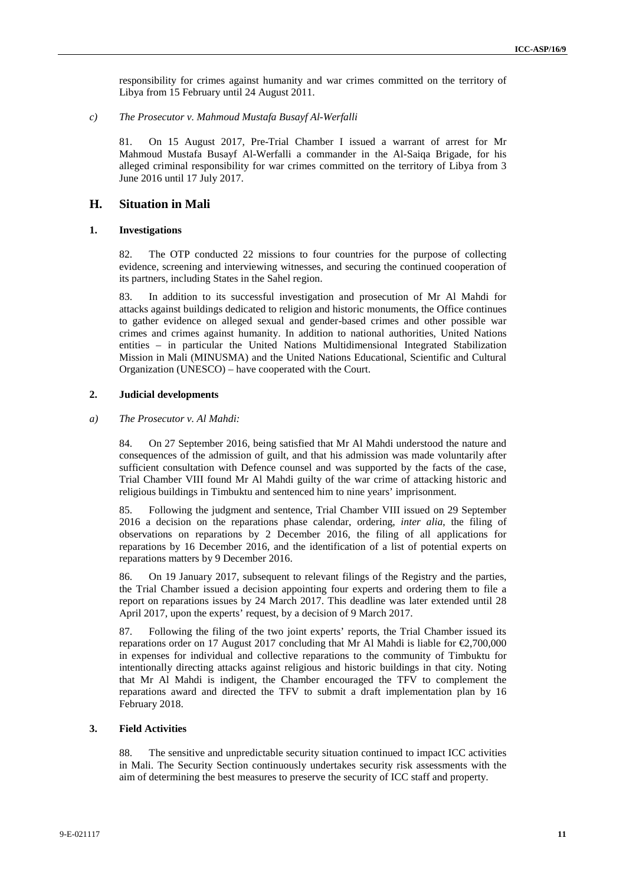responsibility for crimes against humanity and war crimes committed on the territory of Libya from 15 February until 24 August 2011.

*c) The Prosecutor v. Mahmoud Mustafa Busayf Al-Werfalli*

81. On 15 August 2017, Pre-Trial Chamber I issued a warrant of arrest for Mr Mahmoud Mustafa Busayf Al-Werfalli a commander in the Al-Saiqa Brigade, for his alleged criminal responsibility for war crimes committed on the territory of Libya from 3 June 2016 until 17 July 2017.

#### **H. Situation in Mali**

#### **1. Investigations**

82. The OTP conducted 22 missions to four countries for the purpose of collecting evidence, screening and interviewing witnesses, and securing the continued cooperation of its partners, including States in the Sahel region.

83. In addition to its successful investigation and prosecution of Mr Al Mahdi for attacks against buildings dedicated to religion and historic monuments, the Office continues to gather evidence on alleged sexual and gender-based crimes and other possible war crimes and crimes against humanity. In addition to national authorities, United Nations entities – in particular the United Nations Multidimensional Integrated Stabilization Mission in Mali (MINUSMA) and the United Nations Educational, Scientific and Cultural Organization (UNESCO) – have cooperated with the Court.

#### **2. Judicial developments**

#### *a) The Prosecutor v. Al Mahdi:*

84. On 27 September 2016, being satisfied that Mr Al Mahdi understood the nature and consequences of the admission of guilt, and that his admission was made voluntarily after sufficient consultation with Defence counsel and was supported by the facts of the case, Trial Chamber VIII found Mr Al Mahdi guilty of the war crime of attacking historic and religious buildings in Timbuktu and sentenced him to nine years' imprisonment.

85. Following the judgment and sentence, Trial Chamber VIII issued on 29 September 2016 a decision on the reparations phase calendar, ordering, *inter alia*, the filing of observations on reparations by 2 December 2016, the filing of all applications for reparations by 16 December 2016, and the identification of a list of potential experts on reparations matters by 9 December 2016.

86. On 19 January 2017, subsequent to relevant filings of the Registry and the parties, the Trial Chamber issued a decision appointing four experts and ordering them to file a report on reparations issues by 24 March 2017. This deadline was later extended until 28 April 2017, upon the experts' request, by a decision of 9 March 2017.

87. Following the filing of the two joint experts' reports, the Trial Chamber issued its reparations order on 17 August 2017 concluding that Mr Al Mahdi is liable for  $\epsilon$ 2,700,000 in expenses for individual and collective reparations to the community of Timbuktu for intentionally directing attacks against religious and historic buildings in that city. Noting that Mr Al Mahdi is indigent, the Chamber encouraged the TFV to complement the reparations award and directed the TFV to submit a draft implementation plan by 16 February 2018.

#### **3. Field Activities**

88. The sensitive and unpredictable security situation continued to impact ICC activities in Mali. The Security Section continuously undertakes security risk assessments with the aim of determining the best measures to preserve the security of ICC staff and property.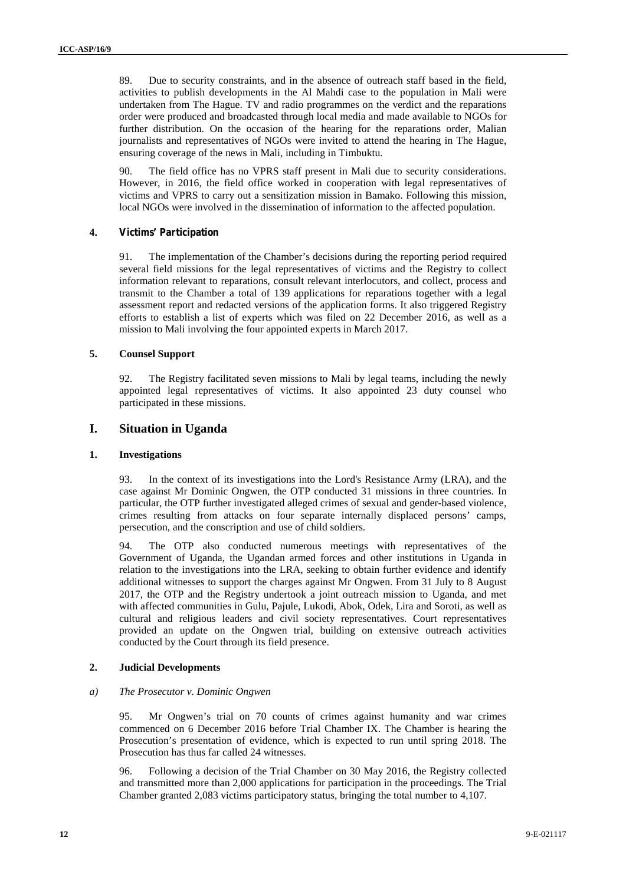89. Due to security constraints, and in the absence of outreach staff based in the field, activities to publish developments in the Al Mahdi case to the population in Mali were undertaken from The Hague. TV and radio programmes on the verdict and the reparations order were produced and broadcasted through local media and made available to NGOs for further distribution. On the occasion of the hearing for the reparations order, Malian journalists and representatives of NGOs were invited to attend the hearing in The Hague, ensuring coverage of the news in Mali, including in Timbuktu.

90. The field office has no VPRS staff present in Mali due to security considerations. However, in 2016, the field office worked in cooperation with legal representatives of victims and VPRS to carry out a sensitization mission in Bamako. Following this mission, local NGOs were involved in the dissemination of information to the affected population.

#### **4. Victims' Participation**

91. The implementation of the Chamber's decisions during the reporting period required several field missions for the legal representatives of victims and the Registry to collect information relevant to reparations, consult relevant interlocutors, and collect, process and transmit to the Chamber a total of 139 applications for reparations together with a legal assessment report and redacted versions of the application forms. It also triggered Registry efforts to establish a list of experts which was filed on 22 December 2016, as well as a mission to Mali involving the four appointed experts in March 2017.

#### **5. Counsel Support**

92. The Registry facilitated seven missions to Mali by legal teams, including the newly appointed legal representatives of victims. It also appointed 23 duty counsel who participated in these missions.

#### **I. Situation in Uganda**

#### **1. Investigations**

93. In the context of its investigations into the Lord's Resistance Army (LRA), and the case against Mr Dominic Ongwen, the OTP conducted 31 missions in three countries. In particular, the OTP further investigated alleged crimes of sexual and gender-based violence, crimes resulting from attacks on four separate internally displaced persons' camps, persecution, and the conscription and use of child soldiers.

94. The OTP also conducted numerous meetings with representatives of the Government of Uganda, the Ugandan armed forces and other institutions in Uganda in relation to the investigations into the LRA, seeking to obtain further evidence and identify additional witnesses to support the charges against Mr Ongwen. From 31 July to 8 August 2017, the OTP and the Registry undertook a joint outreach mission to Uganda, and met with affected communities in Gulu, Pajule, Lukodi, Abok, Odek, Lira and Soroti, as well as cultural and religious leaders and civil society representatives. Court representatives provided an update on the Ongwen trial, building on extensive outreach activities conducted by the Court through its field presence.

#### **2. Judicial Developments**

#### *a) The Prosecutor v. Dominic Ongwen*

95. Mr Ongwen's trial on 70 counts of crimes against humanity and war crimes commenced on 6 December 2016 before Trial Chamber IX. The Chamber is hearing the Prosecution's presentation of evidence, which is expected to run until spring 2018. The Prosecution has thus far called 24 witnesses.

96. Following a decision of the Trial Chamber on 30 May 2016, the Registry collected and transmitted more than 2,000 applications for participation in the proceedings. The Trial Chamber granted 2,083 victims participatory status, bringing the total number to 4,107.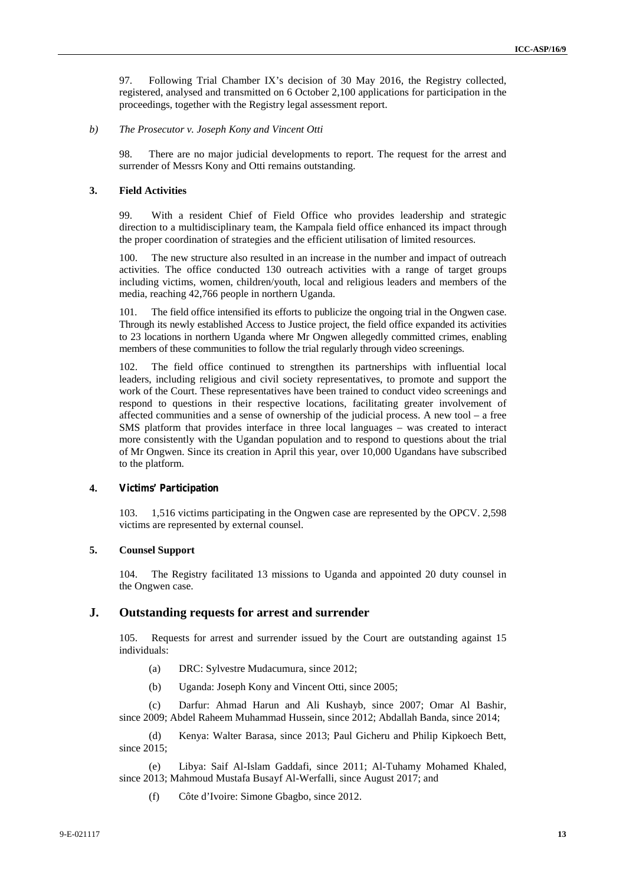97. Following Trial Chamber IX's decision of 30 May 2016, the Registry collected, registered, analysed and transmitted on 6 October 2,100 applications for participation in the proceedings, together with the Registry legal assessment report.

#### *b) The Prosecutor v. Joseph Kony and Vincent Otti*

98. There are no major judicial developments to report. The request for the arrest and surrender of Messrs Kony and Otti remains outstanding.

#### **3. Field Activities**

99. With a resident Chief of Field Office who provides leadership and strategic direction to a multidisciplinary team, the Kampala field office enhanced its impact through the proper coordination of strategies and the efficient utilisation of limited resources.

100. The new structure also resulted in an increase in the number and impact of outreach activities. The office conducted 130 outreach activities with a range of target groups including victims, women, children/youth, local and religious leaders and members of the media, reaching 42,766 people in northern Uganda.

101. The field office intensified its efforts to publicize the ongoing trial in the Ongwen case. Through its newly established Access to Justice project, the field office expanded its activities to 23 locations in northern Uganda where Mr Ongwen allegedly committed crimes, enabling members of these communities to follow the trial regularly through video screenings.

102. The field office continued to strengthen its partnerships with influential local leaders, including religious and civil society representatives, to promote and support the work of the Court. These representatives have been trained to conduct video screenings and respond to questions in their respective locations, facilitating greater involvement of affected communities and a sense of ownership of the judicial process. A new tool – a free SMS platform that provides interface in three local languages – was created to interact more consistently with the Ugandan population and to respond to questions about the trial of Mr Ongwen. Since its creation in April this year, over 10,000 Ugandans have subscribed to the platform.

#### **4. Victims' Participation**

103. 1,516 victims participating in the Ongwen case are represented by the OPCV. 2,598 victims are represented by external counsel.

#### **5. Counsel Support**

104. The Registry facilitated 13 missions to Uganda and appointed 20 duty counsel in the Ongwen case.

#### **J. Outstanding requests for arrest and surrender**

105. Requests for arrest and surrender issued by the Court are outstanding against 15 individuals:

- (a) DRC: Sylvestre Mudacumura, since 2012;
- (b) Uganda: Joseph Kony and Vincent Otti, since 2005;

(c) Darfur: Ahmad Harun and Ali Kushayb, since 2007; Omar Al Bashir, since 2009; Abdel Raheem Muhammad Hussein, since 2012; Abdallah Banda, since 2014;

(d) Kenya: Walter Barasa, since 2013; Paul Gicheru and Philip Kipkoech Bett, since 2015;

(e) Libya: Saif Al-Islam Gaddafi, since 2011; Al-Tuhamy Mohamed Khaled, since 2013; Mahmoud Mustafa Busayf Al-Werfalli, since August 2017; and

(f) Côte d'Ivoire: Simone Gbagbo, since 2012.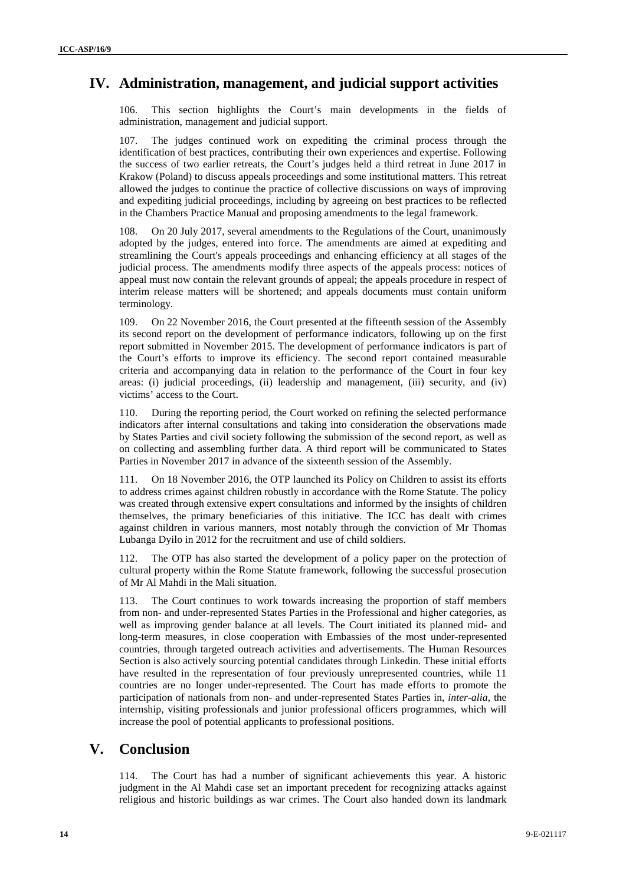## **IV. Administration, management, and judicial support activities**

106. This section highlights the Court's main developments in the fields of administration, management and judicial support.

107. The judges continued work on expediting the criminal process through the identification of best practices, contributing their own experiences and expertise. Following the success of two earlier retreats, the Court's judges held a third retreat in June 2017 in Krakow (Poland) to discuss appeals proceedings and some institutional matters. This retreat allowed the judges to continue the practice of collective discussions on ways of improving and expediting judicial proceedings, including by agreeing on best practices to be reflected in the Chambers Practice Manual and proposing amendments to the legal framework.

108. On 20 July 2017, several amendments to the Regulations of the Court, unanimously adopted by the judges, entered into force. The amendments are aimed at expediting and streamlining the Court's appeals proceedings and enhancing efficiency at all stages of the judicial process. The amendments modify three aspects of the appeals process: notices of appeal must now contain the relevant grounds of appeal; the appeals procedure in respect of interim release matters will be shortened; and appeals documents must contain uniform terminology.

109. On 22 November 2016, the Court presented at the fifteenth session of the Assembly its second report on the development of performance indicators, following up on the first report submitted in November 2015. The development of performance indicators is part of the Court's efforts to improve its efficiency. The second report contained measurable criteria and accompanying data in relation to the performance of the Court in four key areas: (i) judicial proceedings, (ii) leadership and management, (iii) security, and (iv) victims' access to the Court.

110. During the reporting period, the Court worked on refining the selected performance indicators after internal consultations and taking into consideration the observations made by States Parties and civil society following the submission of the second report, as well as on collecting and assembling further data. A third report will be communicated to States Parties in November 2017 in advance of the sixteenth session of the Assembly.

111. On 18 November 2016, the OTP launched its Policy on Children to assist its efforts to address crimes against children robustly in accordance with the Rome Statute. The policy was created through extensive expert consultations and informed by the insights of children themselves, the primary beneficiaries of this initiative. The ICC has dealt with crimes against children in various manners, most notably through the conviction of Mr Thomas Lubanga Dyilo in 2012 for the recruitment and use of child soldiers.

112. The OTP has also started the development of a policy paper on the protection of cultural property within the Rome Statute framework, following the successful prosecution of Mr Al Mahdi in the Mali situation.

The Court continues to work towards increasing the proportion of staff members from non- and under-represented States Parties in the Professional and higher categories, as well as improving gender balance at all levels. The Court initiated its planned mid- and long-term measures, in close cooperation with Embassies of the most under-represented countries, through targeted outreach activities and advertisements. The Human Resources Section is also actively sourcing potential candidates through Linkedin. These initial efforts have resulted in the representation of four previously unrepresented countries, while 11 countries are no longer under-represented. The Court has made efforts to promote the participation of nationals from non- and under-represented States Parties in, *inter-alia*, the internship, visiting professionals and junior professional officers programmes, which will increase the pool of potential applicants to professional positions.

## **V. Conclusion**

114. The Court has had a number of significant achievements this year. A historic judgment in the Al Mahdi case set an important precedent for recognizing attacks against religious and historic buildings as war crimes. The Court also handed down its landmark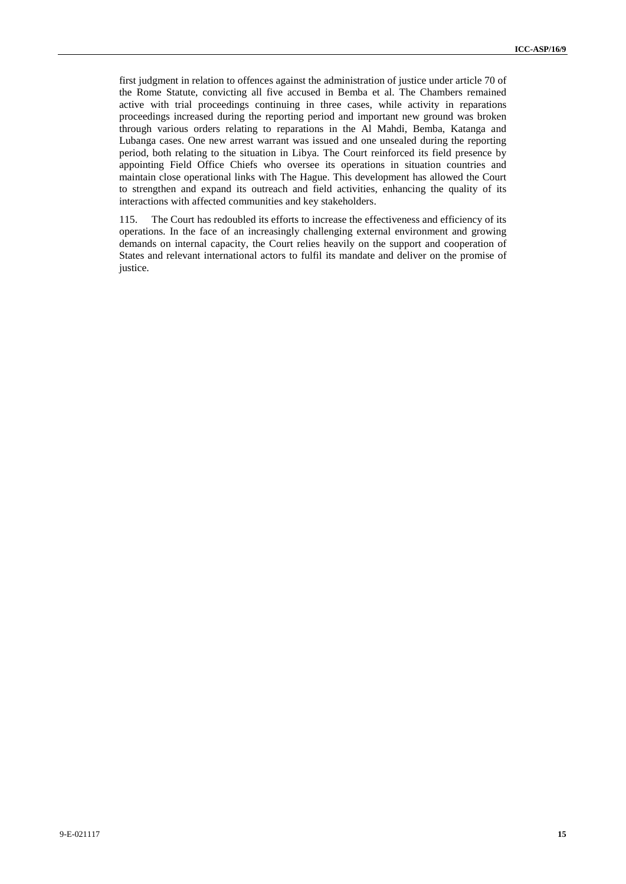first judgment in relation to offences against the administration of justice under article 70 of the Rome Statute, convicting all five accused in Bemba et al. The Chambers remained active with trial proceedings continuing in three cases, while activity in reparations proceedings increased during the reporting period and important new ground was broken through various orders relating to reparations in the Al Mahdi, Bemba, Katanga and Lubanga cases. One new arrest warrant was issued and one unsealed during the reporting period, both relating to the situation in Libya. The Court reinforced its field presence by appointing Field Office Chiefs who oversee its operations in situation countries and maintain close operational links with The Hague. This development has allowed the Court to strengthen and expand its outreach and field activities, enhancing the quality of its interactions with affected communities and key stakeholders.

115. The Court has redoubled its efforts to increase the effectiveness and efficiency of its operations. In the face of an increasingly challenging external environment and growing demands on internal capacity, the Court relies heavily on the support and cooperation of States and relevant international actors to fulfil its mandate and deliver on the promise of justice.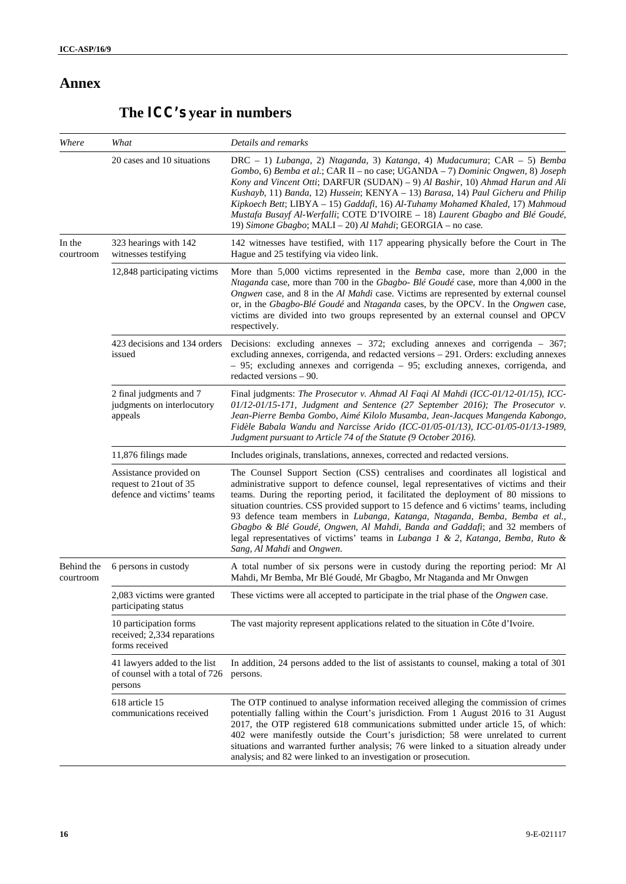## **Annex**

# **The ICC's year in numbers**

| Where                   | What                                                                            | Details and remarks                                                                                                                                                                                                                                                                                                                                                                                                                                                                                                                                                                                                                        |
|-------------------------|---------------------------------------------------------------------------------|--------------------------------------------------------------------------------------------------------------------------------------------------------------------------------------------------------------------------------------------------------------------------------------------------------------------------------------------------------------------------------------------------------------------------------------------------------------------------------------------------------------------------------------------------------------------------------------------------------------------------------------------|
|                         | 20 cases and 10 situations                                                      | DRC - 1) Lubanga, 2) Ntaganda, 3) Katanga, 4) Mudacumura; CAR - 5) Bemba<br>Gombo, 6) Bemba et al.; CAR II – no case; UGANDA – 7) Dominic Ongwen, 8) Joseph<br>Kony and Vincent Otti; DARFUR (SUDAN) - 9) Al Bashir, 10) Ahmad Harun and Ali<br>Kushayb, 11) Banda, 12) Hussein; KENYA - 13) Barasa, 14) Paul Gicheru and Philip<br>Kipkoech Bett; LIBYA - 15) Gaddafi, 16) Al-Tuhamy Mohamed Khaled, 17) Mahmoud<br>Mustafa Busayf Al-Werfalli; COTE D'IVOIRE - 18) Laurent Gbagbo and Blé Goudé,<br>19) Simone Gbagbo; MALI - 20) Al Mahdi; GEORGIA - no case.                                                                           |
| In the<br>courtroom     | 323 hearings with 142<br>witnesses testifying                                   | 142 witnesses have testified, with 117 appearing physically before the Court in The<br>Hague and 25 testifying via video link.                                                                                                                                                                                                                                                                                                                                                                                                                                                                                                             |
|                         | 12,848 participating victims                                                    | More than 5,000 victims represented in the <i>Bemba</i> case, more than 2,000 in the<br>Ntaganda case, more than 700 in the Gbagbo- Blé Goudé case, more than 4,000 in the<br>Ongwen case, and 8 in the Al Mahdi case. Victims are represented by external counsel<br>or, in the Gbagbo-Blé Goudé and Ntaganda cases, by the OPCV. In the Ongwen case,<br>victims are divided into two groups represented by an external counsel and OPCV<br>respectively.                                                                                                                                                                                 |
|                         | 423 decisions and 134 orders<br>issued                                          | Decisions: excluding annexes $-372$ ; excluding annexes and corrigenda $-367$ ;<br>excluding annexes, corrigenda, and redacted versions - 291. Orders: excluding annexes<br>- 95; excluding annexes and corrigenda - 95; excluding annexes, corrigenda, and<br>redacted versions $-90$ .                                                                                                                                                                                                                                                                                                                                                   |
|                         | 2 final judgments and 7<br>judgments on interlocutory<br>appeals                | Final judgments: The Prosecutor v. Ahmad Al Faqi Al Mahdi (ICC-01/12-01/15), ICC-<br>01/12-01/15-171, Judgment and Sentence (27 September 2016); The Prosecutor v.<br>Jean-Pierre Bemba Gombo, Aimé Kilolo Musamba, Jean-Jacques Mangenda Kabongo,<br>Fidèle Babala Wandu and Narcisse Arido (ICC-01/05-01/13), ICC-01/05-01/13-1989,<br>Judgment pursuant to Article 74 of the Statute (9 October 2016).                                                                                                                                                                                                                                  |
|                         | 11,876 filings made                                                             | Includes originals, translations, annexes, corrected and redacted versions.                                                                                                                                                                                                                                                                                                                                                                                                                                                                                                                                                                |
|                         | Assistance provided on<br>request to 21 out of 35<br>defence and victims' teams | The Counsel Support Section (CSS) centralises and coordinates all logistical and<br>administrative support to defence counsel, legal representatives of victims and their<br>teams. During the reporting period, it facilitated the deployment of 80 missions to<br>situation countries. CSS provided support to 15 defence and 6 victims' teams, including<br>93 defence team members in Lubanga, Katanga, Ntaganda, Bemba, Bemba et al.,<br>Gbagbo & Blé Goudé, Ongwen, Al Mahdi, Banda and Gaddafi; and 32 members of<br>legal representatives of victims' teams in Lubanga 1 & 2, Katanga, Bemba, Ruto &<br>Sang, Al Mahdi and Ongwen. |
| Behind the<br>courtroom | 6 persons in custody                                                            | A total number of six persons were in custody during the reporting period: Mr Al<br>Mahdi, Mr Bemba, Mr Blé Goudé, Mr Gbagbo, Mr Ntaganda and Mr Onwgen                                                                                                                                                                                                                                                                                                                                                                                                                                                                                    |
|                         | 2,083 victims were granted<br>participating status                              | These victims were all accepted to participate in the trial phase of the <i>Ongwen</i> case.                                                                                                                                                                                                                                                                                                                                                                                                                                                                                                                                               |
|                         | 10 participation forms<br>received; 2,334 reparations<br>forms received         | The vast majority represent applications related to the situation in Côte d'Ivoire.                                                                                                                                                                                                                                                                                                                                                                                                                                                                                                                                                        |
|                         | 41 lawyers added to the list<br>of counsel with a total of 726<br>persons       | In addition, 24 persons added to the list of assistants to counsel, making a total of 301<br>persons.                                                                                                                                                                                                                                                                                                                                                                                                                                                                                                                                      |
|                         | 618 article 15<br>communications received                                       | The OTP continued to analyse information received alleging the commission of crimes<br>potentially falling within the Court's jurisdiction. From 1 August 2016 to 31 August<br>2017, the OTP registered 618 communications submitted under article 15, of which:<br>402 were manifestly outside the Court's jurisdiction; 58 were unrelated to current<br>situations and warranted further analysis; 76 were linked to a situation already under<br>analysis; and 82 were linked to an investigation or prosecution.                                                                                                                       |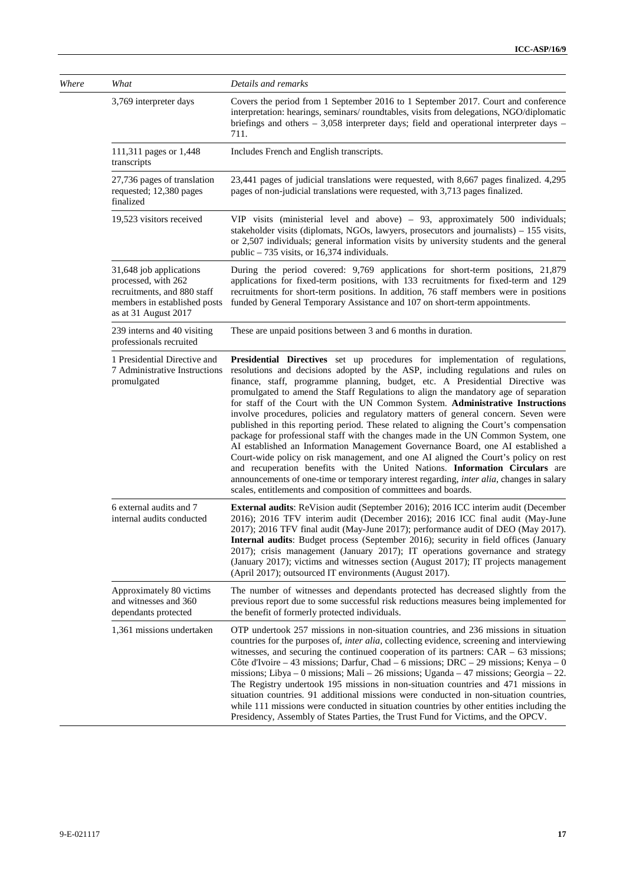| Where | What                                                                                                                                  | Details and remarks                                                                                                                                                                                                                                                                                                                                                                                                                                                                                                                                                                                                                                                                                                                                                                                                                                                                                                                                                                                                                                                                                                    |
|-------|---------------------------------------------------------------------------------------------------------------------------------------|------------------------------------------------------------------------------------------------------------------------------------------------------------------------------------------------------------------------------------------------------------------------------------------------------------------------------------------------------------------------------------------------------------------------------------------------------------------------------------------------------------------------------------------------------------------------------------------------------------------------------------------------------------------------------------------------------------------------------------------------------------------------------------------------------------------------------------------------------------------------------------------------------------------------------------------------------------------------------------------------------------------------------------------------------------------------------------------------------------------------|
|       | 3,769 interpreter days                                                                                                                | Covers the period from 1 September 2016 to 1 September 2017. Court and conference<br>interpretation: hearings, seminars/roundtables, visits from delegations, NGO/diplomatic<br>briefings and others $-3,058$ interpreter days; field and operational interpreter days $-$<br>711.                                                                                                                                                                                                                                                                                                                                                                                                                                                                                                                                                                                                                                                                                                                                                                                                                                     |
|       | 111,311 pages or 1,448<br>transcripts                                                                                                 | Includes French and English transcripts.                                                                                                                                                                                                                                                                                                                                                                                                                                                                                                                                                                                                                                                                                                                                                                                                                                                                                                                                                                                                                                                                               |
|       | 27,736 pages of translation<br>requested; 12,380 pages<br>finalized                                                                   | 23,441 pages of judicial translations were requested, with 8,667 pages finalized. 4,295<br>pages of non-judicial translations were requested, with 3,713 pages finalized.                                                                                                                                                                                                                                                                                                                                                                                                                                                                                                                                                                                                                                                                                                                                                                                                                                                                                                                                              |
|       | 19,523 visitors received                                                                                                              | VIP visits (ministerial level and above) - 93, approximately 500 individuals;<br>stakeholder visits (diplomats, NGOs, lawyers, prosecutors and journalists) - 155 visits,<br>or 2,507 individuals; general information visits by university students and the general<br>public $-735$ visits, or 16,374 individuals.                                                                                                                                                                                                                                                                                                                                                                                                                                                                                                                                                                                                                                                                                                                                                                                                   |
|       | 31,648 job applications<br>processed, with 262<br>recruitments, and 880 staff<br>members in established posts<br>as at 31 August 2017 | During the period covered: 9,769 applications for short-term positions, 21,879<br>applications for fixed-term positions, with 133 recruitments for fixed-term and 129<br>recruitments for short-term positions. In addition, 76 staff members were in positions<br>funded by General Temporary Assistance and 107 on short-term appointments.                                                                                                                                                                                                                                                                                                                                                                                                                                                                                                                                                                                                                                                                                                                                                                          |
|       | 239 interns and 40 visiting<br>professionals recruited                                                                                | These are unpaid positions between 3 and 6 months in duration.                                                                                                                                                                                                                                                                                                                                                                                                                                                                                                                                                                                                                                                                                                                                                                                                                                                                                                                                                                                                                                                         |
|       | 1 Presidential Directive and<br>7 Administrative Instructions<br>promulgated                                                          | Presidential Directives set up procedures for implementation of regulations,<br>resolutions and decisions adopted by the ASP, including regulations and rules on<br>finance, staff, programme planning, budget, etc. A Presidential Directive was<br>promulgated to amend the Staff Regulations to align the mandatory age of separation<br>for staff of the Court with the UN Common System. Administrative Instructions<br>involve procedures, policies and regulatory matters of general concern. Seven were<br>published in this reporting period. These related to aligning the Court's compensation<br>package for professional staff with the changes made in the UN Common System, one<br>AI established an Information Management Governance Board, one AI established a<br>Court-wide policy on risk management, and one AI aligned the Court's policy on rest<br>and recuperation benefits with the United Nations. Information Circulars are<br>announcements of one-time or temporary interest regarding, inter alia, changes in salary<br>scales, entitlements and composition of committees and boards. |
|       | 6 external audits and 7<br>internal audits conducted                                                                                  | <b>External audits:</b> ReVision audit (September 2016); 2016 ICC interim audit (December<br>2016); 2016 TFV interim audit (December 2016); 2016 ICC final audit (May-June<br>2017); 2016 TFV final audit (May-June 2017); performance audit of DEO (May 2017).<br><b>Internal audits:</b> Budget process (September 2016); security in field offices (January<br>2017); crisis management (January 2017); IT operations governance and strategy<br>(January 2017); victims and witnesses section (August 2017); IT projects management<br>(April 2017); outsourced IT environments (August 2017).                                                                                                                                                                                                                                                                                                                                                                                                                                                                                                                     |
|       | Approximately 80 victims<br>and witnesses and 360<br>dependants protected                                                             | The number of witnesses and dependants protected has decreased slightly from the<br>previous report due to some successful risk reductions measures being implemented for<br>the benefit of formerly protected individuals.                                                                                                                                                                                                                                                                                                                                                                                                                                                                                                                                                                                                                                                                                                                                                                                                                                                                                            |
|       | 1,361 missions undertaken                                                                                                             | OTP undertook 257 missions in non-situation countries, and 236 missions in situation<br>countries for the purposes of, inter alia, collecting evidence, screening and interviewing<br>witnesses, and securing the continued cooperation of its partners: $CAR - 63$ missions;<br>Côte d'Ivoire – 43 missions; Darfur, Chad – 6 missions; DRC – 29 missions; Kenya – 0<br>missions; Libya – 0 missions; Mali – 26 missions; Uganda – 47 missions; Georgia – 22.<br>The Registry undertook 195 missions in non-situation countries and 471 missions in<br>situation countries. 91 additional missions were conducted in non-situation countries,<br>while 111 missions were conducted in situation countries by other entities including the<br>Presidency, Assembly of States Parties, the Trust Fund for Victims, and the OPCV.                                                                                                                                                                                                                                                                                        |